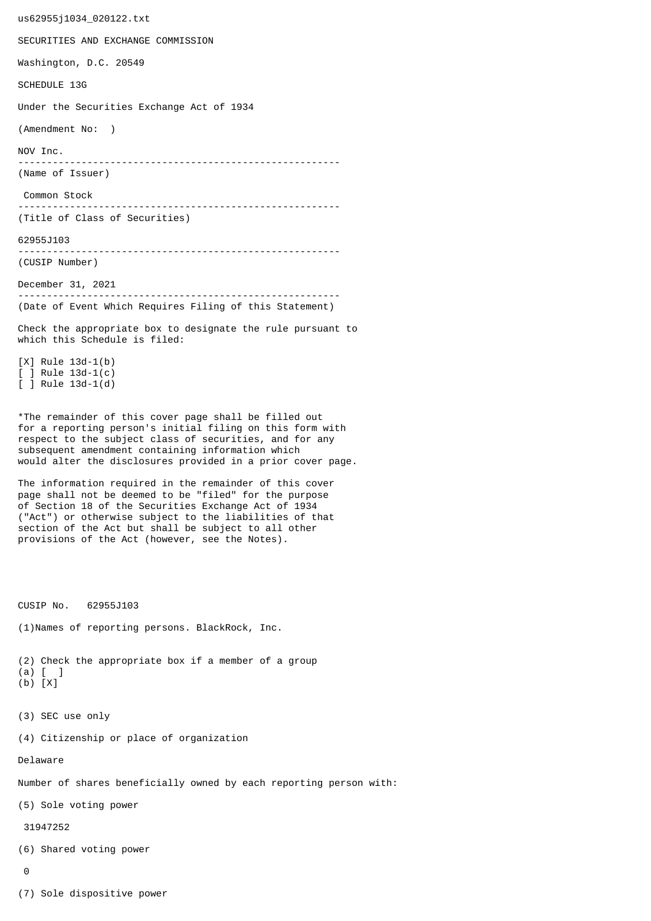us62955j1034\_020122.txt SECURITIES AND EXCHANGE COMMISSION Washington, D.C. 20549 SCHEDULE 13G Under the Securities Exchange Act of 1934 (Amendment No: ) NOV Inc. -------------------------------------------------------- (Name of Issuer) Common Stock -------------------------------------------------------- (Title of Class of Securities) 62955J103 -------------------------------------------------------- (CUSIP Number) December 31, 2021 -------------------------------------------------------- (Date of Event Which Requires Filing of this Statement) Check the appropriate box to designate the rule pursuant to which this Schedule is filed: [X] Rule 13d-1(b) [ ] Rule 13d-1(c) [ ] Rule 13d-1(d) \*The remainder of this cover page shall be filled out for a reporting person's initial filing on this form with respect to the subject class of securities, and for any subsequent amendment containing information which would alter the disclosures provided in a prior cover page. The information required in the remainder of this cover page shall not be deemed to be "filed" for the purpose of Section 18 of the Securities Exchange Act of 1934 ("Act") or otherwise subject to the liabilities of that section of the Act but shall be subject to all other provisions of the Act (however, see the Notes). CUSIP No. 62955J103 (1)Names of reporting persons. BlackRock, Inc. (2) Check the appropriate box if a member of a group (a) [ ] (b) [X] (3) SEC use only (4) Citizenship or place of organization Delaware Number of shares beneficially owned by each reporting person with: (5) Sole voting power 31947252 (6) Shared voting power  $\Omega$ 

(7) Sole dispositive power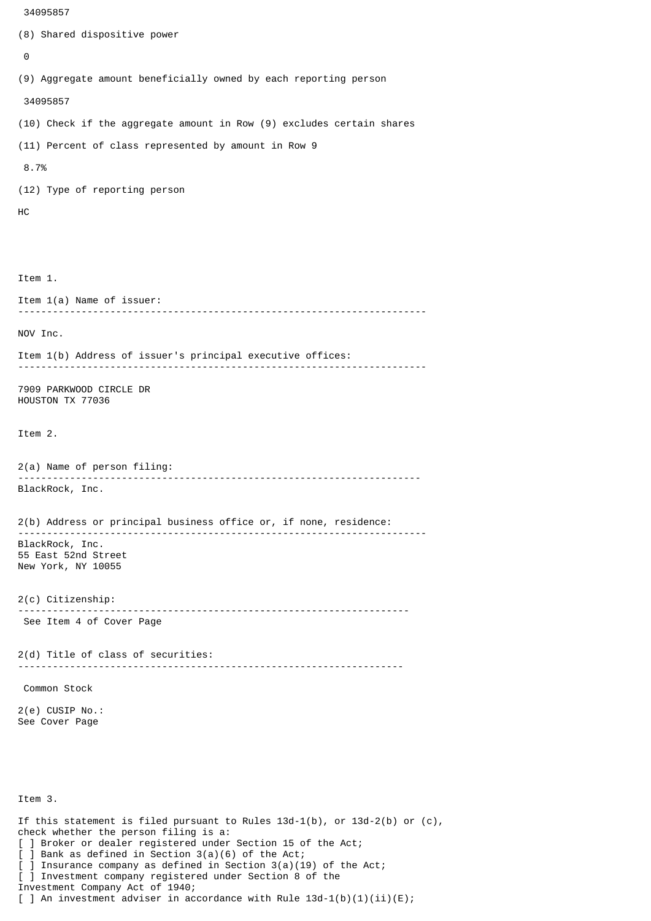```
 34095857
(8) Shared dispositive power
 \boldsymbol{\Theta}(9) Aggregate amount beneficially owned by each reporting person
  34095857
(10) Check if the aggregate amount in Row (9) excludes certain shares
(11) Percent of class represented by amount in Row 9
 8.7%
(12) Type of reporting person
HC
Item 1.
Item 1(a) Name of issuer:
           -----------------------------------------------------------------------
NOV Inc.
Item 1(b) Address of issuer's principal executive offices:
-----------------------------------------------------------------------
7909 PARKWOOD CIRCLE DR
HOUSTON TX 77036
Item 2.
2(a) Name of person filing:
               ----------------------------------------------------------------------
BlackRock, Inc.
2(b) Address or principal business office or, if none, residence:
 -----------------------------------------------------------------------
BlackRock, Inc.
55 East 52nd Street
New York, NY 10055
2(c) Citizenship:
                             --------------------------------------------------------------------
 See Item 4 of Cover Page
2(d) Title of class of securities:
                                       -------------------------------------------------------------------
 Common Stock
2(e) CUSIP No.:
See Cover Page
Item 3.
If this statement is filed pursuant to Rules 13d-1(b), or 13d-2(b) or (c),
check whether the person filing is a:
[ ] Broker or dealer registered under Section 15 of the Act;
```
[ ] Bank as defined in Section 3(a)(6) of the Act;

Investment Company Act of 1940;

[ ] Investment company registered under Section 8 of the

] Insurance company as defined in Section  $3(a)(19)$  of the Act;

[ ] An investment adviser in accordance with Rule  $13d-1(b)(1)(ii)(E)$ ;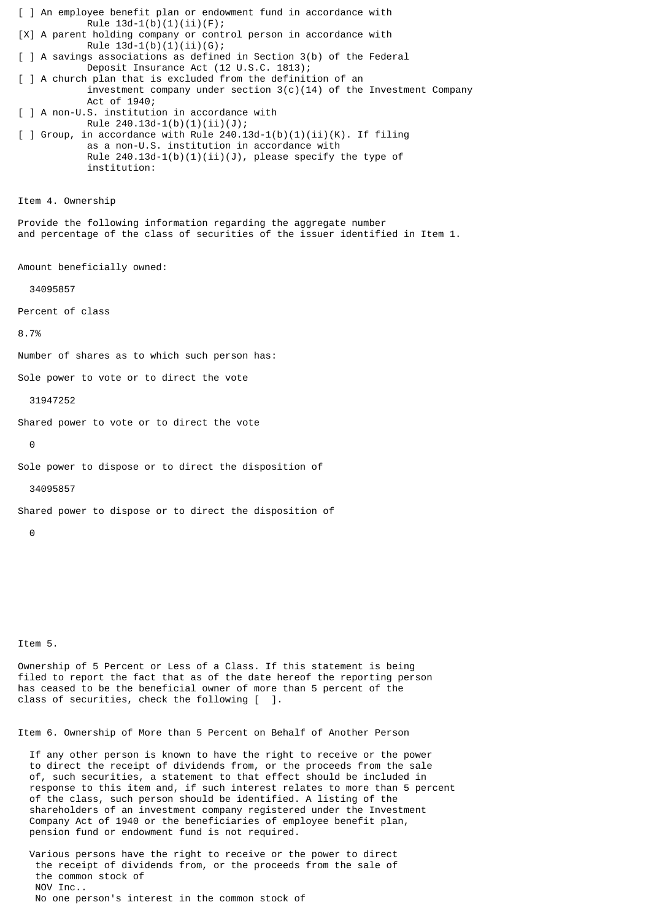[ ] An employee benefit plan or endowment fund in accordance with Rule  $13d-1(b)(1)(ii)(F);$ [X] A parent holding company or control person in accordance with Rule  $13d-1(b)(1)(ii)(G);$ [ ] A savings associations as defined in Section 3(b) of the Federal Deposit Insurance Act (12 U.S.C. 1813); [ ] A church plan that is excluded from the definition of an investment company under section  $3(c)(14)$  of the Investment Company Act of 1940; [ ] A non-U.S. institution in accordance with Rule 240.13d-1(b)(1)(ii)(J);  $\lceil$  ] Group, in accordance with Rule 240.13d-1(b)(1)(ii)(K). If filing as a non-U.S. institution in accordance with Rule  $240.13d-1(b)(1)(ii)(J)$ , please specify the type of institution: Item 4. Ownership Provide the following information regarding the aggregate number and percentage of the class of securities of the issuer identified in Item 1. Amount beneficially owned: 34095857 Percent of class 8.7% Number of shares as to which such person has: Sole power to vote or to direct the vote 31947252 Shared power to vote or to direct the vote  $\Theta$ Sole power to dispose or to direct the disposition of 34095857 Shared power to dispose or to direct the disposition of  $\Omega$ 

Item 5.

Ownership of 5 Percent or Less of a Class. If this statement is being filed to report the fact that as of the date hereof the reporting person has ceased to be the beneficial owner of more than 5 percent of the class of securities, check the following [ ].

Item 6. Ownership of More than 5 Percent on Behalf of Another Person

 If any other person is known to have the right to receive or the power to direct the receipt of dividends from, or the proceeds from the sale of, such securities, a statement to that effect should be included in response to this item and, if such interest relates to more than 5 percent of the class, such person should be identified. A listing of the shareholders of an investment company registered under the Investment Company Act of 1940 or the beneficiaries of employee benefit plan, pension fund or endowment fund is not required.

 Various persons have the right to receive or the power to direct the receipt of dividends from, or the proceeds from the sale of the common stock of NOV Inc.. No one person's interest in the common stock of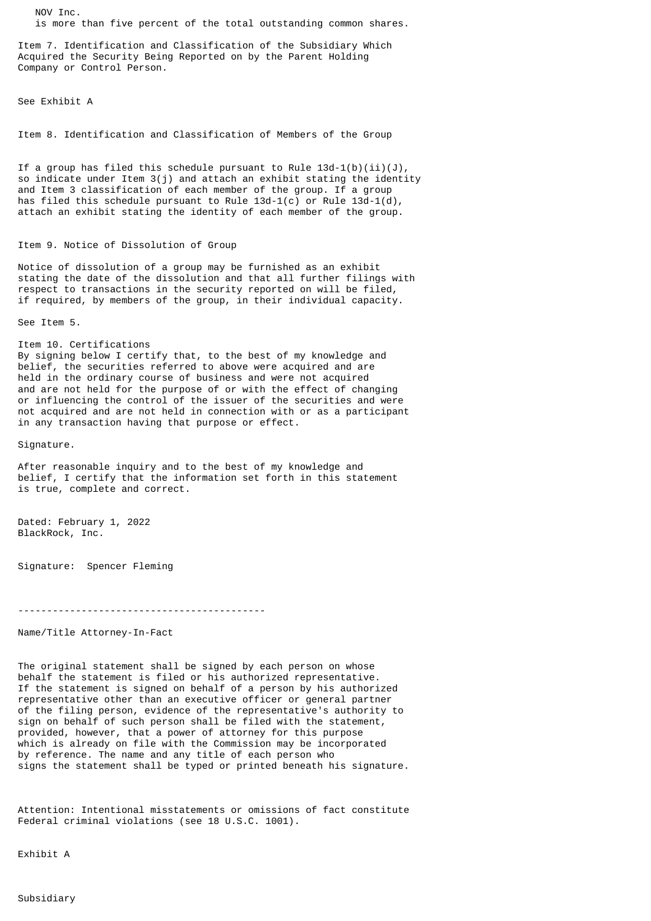NOV Inc. is more than five percent of the total outstanding common shares.

Item 7. Identification and Classification of the Subsidiary Which Acquired the Security Being Reported on by the Parent Holding Company or Control Person.

See Exhibit A

Item 8. Identification and Classification of Members of the Group

If a group has filed this schedule pursuant to Rule  $13d-1(b)(ii)(J)$ , so indicate under Item 3(j) and attach an exhibit stating the identity and Item 3 classification of each member of the group. If a group has filed this schedule pursuant to Rule  $13d-1(c)$  or Rule  $13d-1(d)$ , attach an exhibit stating the identity of each member of the group.

## Item 9. Notice of Dissolution of Group

Notice of dissolution of a group may be furnished as an exhibit stating the date of the dissolution and that all further filings with respect to transactions in the security reported on will be filed, if required, by members of the group, in their individual capacity.

See Item 5.

Item 10. Certifications By signing below I certify that, to the best of my knowledge and belief, the securities referred to above were acquired and are held in the ordinary course of business and were not acquired and are not held for the purpose of or with the effect of changing or influencing the control of the issuer of the securities and were not acquired and are not held in connection with or as a participant in any transaction having that purpose or effect.

Signature.

After reasonable inquiry and to the best of my knowledge and belief, I certify that the information set forth in this statement is true, complete and correct.

Dated: February 1, 2022 BlackRock, Inc.

Signature: Spencer Fleming

-------------------------------------------

Name/Title Attorney-In-Fact

The original statement shall be signed by each person on whose behalf the statement is filed or his authorized representative. If the statement is signed on behalf of a person by his authorized representative other than an executive officer or general partner of the filing person, evidence of the representative's authority to sign on behalf of such person shall be filed with the statement, provided, however, that a power of attorney for this purpose which is already on file with the Commission may be incorporated by reference. The name and any title of each person who signs the statement shall be typed or printed beneath his signature.

Attention: Intentional misstatements or omissions of fact constitute Federal criminal violations (see 18 U.S.C. 1001).

Exhibit A